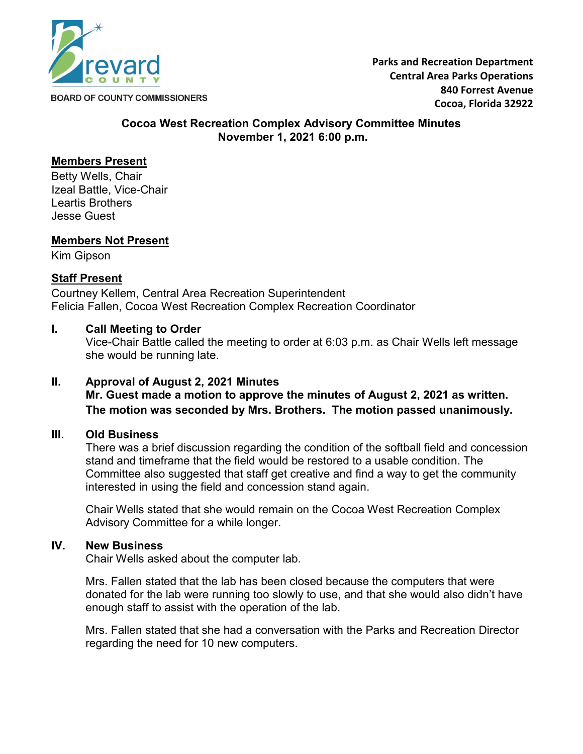

**Parks and Recreation Department Central Area Parks Operations 840 Forrest Avenue Cocoa, Florida 32922**

#### **Cocoa West Recreation Complex Advisory Committee Minutes November 1, 2021 6:00 p.m.**

# **Members Present**

Betty Wells, Chair Izeal Battle, Vice-Chair Leartis Brothers Jesse Guest

### **Members Not Present**

Kim Gipson

## **Staff Present**

Courtney Kellem, Central Area Recreation Superintendent Felicia Fallen, Cocoa West Recreation Complex Recreation Coordinator

## **I. Call Meeting to Order**

Vice-Chair Battle called the meeting to order at 6:03 p.m. as Chair Wells left message she would be running late.

### **II. Approval of August 2, 2021 Minutes**

**Mr. Guest made a motion to approve the minutes of August 2, 2021 as written. The motion was seconded by Mrs. Brothers. The motion passed unanimously.**

### **III. Old Business**

There was a brief discussion regarding the condition of the softball field and concession stand and timeframe that the field would be restored to a usable condition. The Committee also suggested that staff get creative and find a way to get the community interested in using the field and concession stand again.

Chair Wells stated that she would remain on the Cocoa West Recreation Complex Advisory Committee for a while longer.

### **IV. New Business**

Chair Wells asked about the computer lab.

Mrs. Fallen stated that the lab has been closed because the computers that were donated for the lab were running too slowly to use, and that she would also didn't have enough staff to assist with the operation of the lab.

Mrs. Fallen stated that she had a conversation with the Parks and Recreation Director regarding the need for 10 new computers.